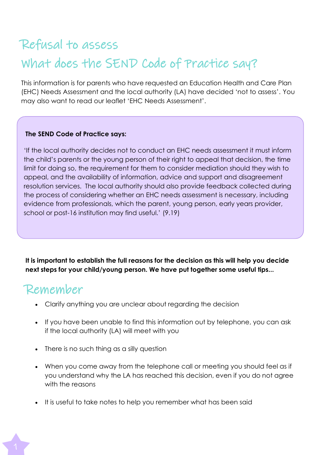# Refusal to assess What does the SEND Code of Practice say?

This information is for parents who have requested an Education Health and Care Plan (EHC) Needs Assessment and the local authority (LA) have decided 'not to assess'. You may also want to read our leaflet 'EHC Needs Assessment'.

#### **The SEND Code of Practice says:**

'If the local authority decides not to conduct an EHC needs assessment it must inform the child's parents or the young person of their right to appeal that decision, the time limit for doing so, the requirement for them to consider mediation should they wish to appeal, and the availability of information, advice and support and disagreement resolution services. The local authority should also provide feedback collected during the process of considering whether an EHC needs assessment is necessary, including evidence from professionals, which the parent, young person, early years provider, school or post-16 institution may find useful.' (9.19)

**It is important to establish the full reasons for the decision as this will help you decide next steps for your child/young person. We have put together some useful tips...**

#### Remember

- Clarify anything you are unclear about regarding the decision
- If you have been unable to find this information out by telephone, you can ask if the local authority (LA) will meet with you
- There is no such thing as a silly question
- When you come away from the telephone call or meeting you should feel as if you understand why the LA has reached this decision, even if you do not agree with the reasons
- It is useful to take notes to help you remember what has been said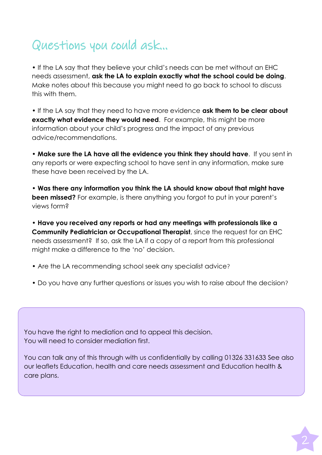# Questions you could ask...

• If the LA say that they believe your child's needs can be met without an EHC needs assessment, **ask the LA to explain exactly what the school could be doing**. Make notes about this because you might need to go back to school to discuss this with them.

• If the LA say that they need to have more evidence **ask them to be clear about exactly what evidence they would need**. For example, this might be more information about your child's progress and the impact of any previous advice/recommendations.

• **Make sure the LA have all the evidence you think they should have**. If you sent in any reports or were expecting school to have sent in any information, make sure these have been received by the LA.

• **Was there any information you think the LA should know about that might have been missed?** For example, is there anything you forgot to put in your parent's views form?

• **Have you received any reports or had any meetings with professionals like a Community Pediatrician or Occupational Therapist**, since the request for an EHC needs assessment? If so, ask the LA if a copy of a report from this professional might make a difference to the 'no' decision.

- Are the LA recommending school seek any specialist advice?
- Do you have any further questions or issues you wish to raise about the decision?

You have the right to mediation and to appeal this decision. You will need to consider mediation first.

You can talk any of this through with us confidentially by calling 01326 331633 See also our leaflets Education, health and care needs assessment and Education health & care plans.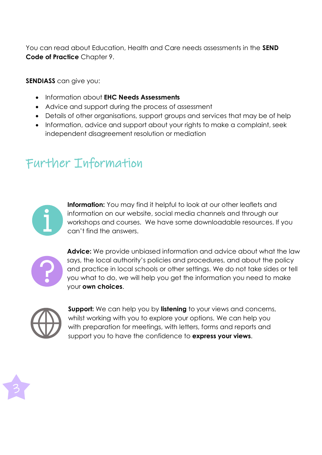You can read about Education, Health and Care needs assessments in the **SEND Code of Practice** Chapter 9.

**SENDIASS** can give you:

- Information about **EHC Needs Assessments**
- Advice and support during the process of assessment
- Details of other organisations, support groups and services that may be of help
- Information, advice and support about your rights to make a complaint, seek independent disagreement resolution or mediation

## Further Information



**Information:** You may find it helpful to look at our other leaflets and information on our website, social media channels and through our workshops and courses. We have some downloadable resources. If you can't find the answers.



**Advice:** We provide unbiased information and advice about what the law says, the local authority's policies and procedures, and about the policy and practice in local schools or other settings. We do not take sides or tell you what to do, we will help you get the information you need to make your **own choices**.



**Support:** We can help you by **listening** to your views and concerns, whilst working with you to explore your options. We can help you with preparation for meetings, with letters, forms and reports and support you to have the confidence to **express your views**.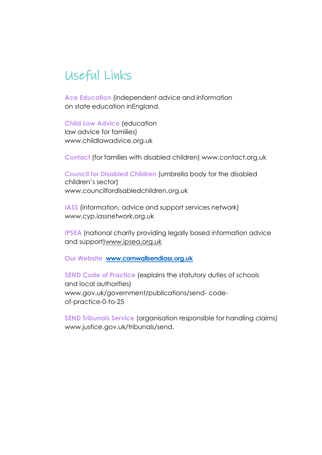### Useful Links

**Ace Education** (independent advice and information on state education inEngland.

**Child Law Advice** (education law advice for families) [www.childlawadvice.org.uk](http://www.childlawadvice.org.uk/)

**Contact** (for families with disabled children) [www.contact.org.uk](http://www.contact.org.uk/)

**Council for Disabled Children** (umbrella body for the disabled children's sector) [www.councilfordisabledchildren.org.uk](http://www.councilfordisabledchildren.org.uk/)

**IASS** (information, advice and support services network) [www.cyp.iassnetwork.org.uk](http://www.cyp.iassnetwork.org.uk/)

**IPSEA** (national charity providing legally based information advice and support[\)www.ipsea.org.uk](http://www.ipsea.org.uk/)

**Our Website [www.cornwallsendiass.org.uk](http://www.cornwallsendiass.org.uk/)**

**SEND Code of Practice** (explains the statutory duties of schools and local authorities) [www.gov.uk/government/publications/send-](http://www.gov.uk/government/publications/send-) codeof-practice-0-to-25

**SEND Tribunals Service** (organisation responsible for handling claims) [www.justice.gov.uk/tribunals/send.](http://www.justice.gov.uk/tribunals/send)